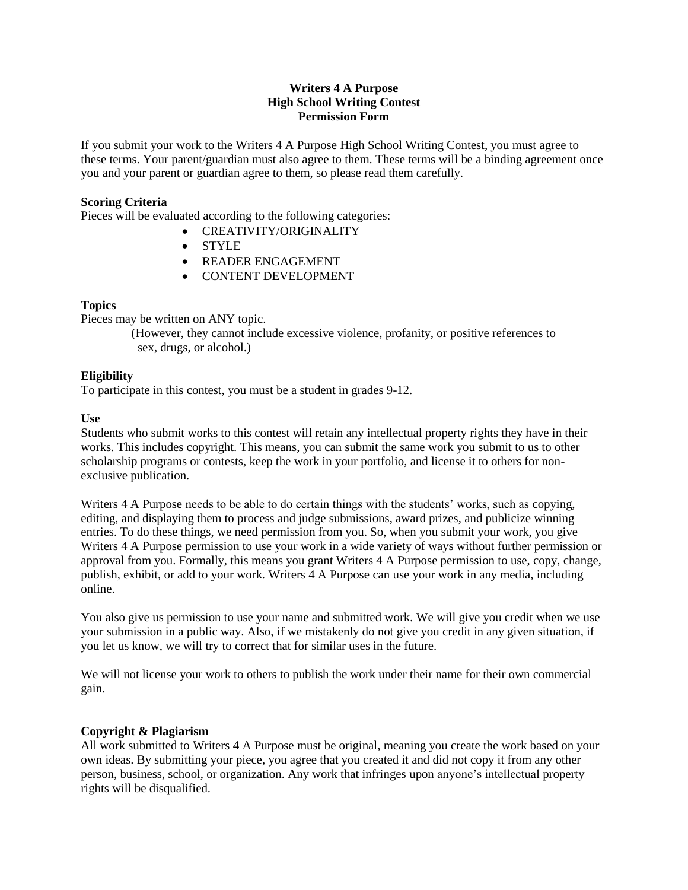#### **Writers 4 A Purpose High School Writing Contest Permission Form**

If you submit your work to the Writers 4 A Purpose High School Writing Contest, you must agree to these terms. Your parent/guardian must also agree to them. These terms will be a binding agreement once you and your parent or guardian agree to them, so please read them carefully.

## **Scoring Criteria**

Pieces will be evaluated according to the following categories:

- CREATIVITY/ORIGINALITY
- STYLE
- **READER ENGAGEMENT**
- CONTENT DEVELOPMENT

#### **Topics**

Pieces may be written on ANY topic.

(However, they cannot include excessive violence, profanity, or positive references to sex, drugs, or alcohol.)

## **Eligibility**

To participate in this contest, you must be a student in grades 9-12.

#### **Use**

Students who submit works to this contest will retain any intellectual property rights they have in their works. This includes copyright. This means, you can submit the same work you submit to us to other scholarship programs or contests, keep the work in your portfolio, and license it to others for nonexclusive publication.

Writers 4 A Purpose needs to be able to do certain things with the students' works, such as copying, editing, and displaying them to process and judge submissions, award prizes, and publicize winning entries. To do these things, we need permission from you. So, when you submit your work, you give Writers 4 A Purpose permission to use your work in a wide variety of ways without further permission or approval from you. Formally, this means you grant Writers 4 A Purpose permission to use, copy, change, publish, exhibit, or add to your work. Writers 4 A Purpose can use your work in any media, including online.

You also give us permission to use your name and submitted work. We will give you credit when we use your submission in a public way. Also, if we mistakenly do not give you credit in any given situation, if you let us know, we will try to correct that for similar uses in the future.

We will not license your work to others to publish the work under their name for their own commercial gain.

## **Copyright & Plagiarism**

All work submitted to Writers 4 A Purpose must be original, meaning you create the work based on your own ideas. By submitting your piece, you agree that you created it and did not copy it from any other person, business, school, or organization. Any work that infringes upon anyone's intellectual property rights will be disqualified.